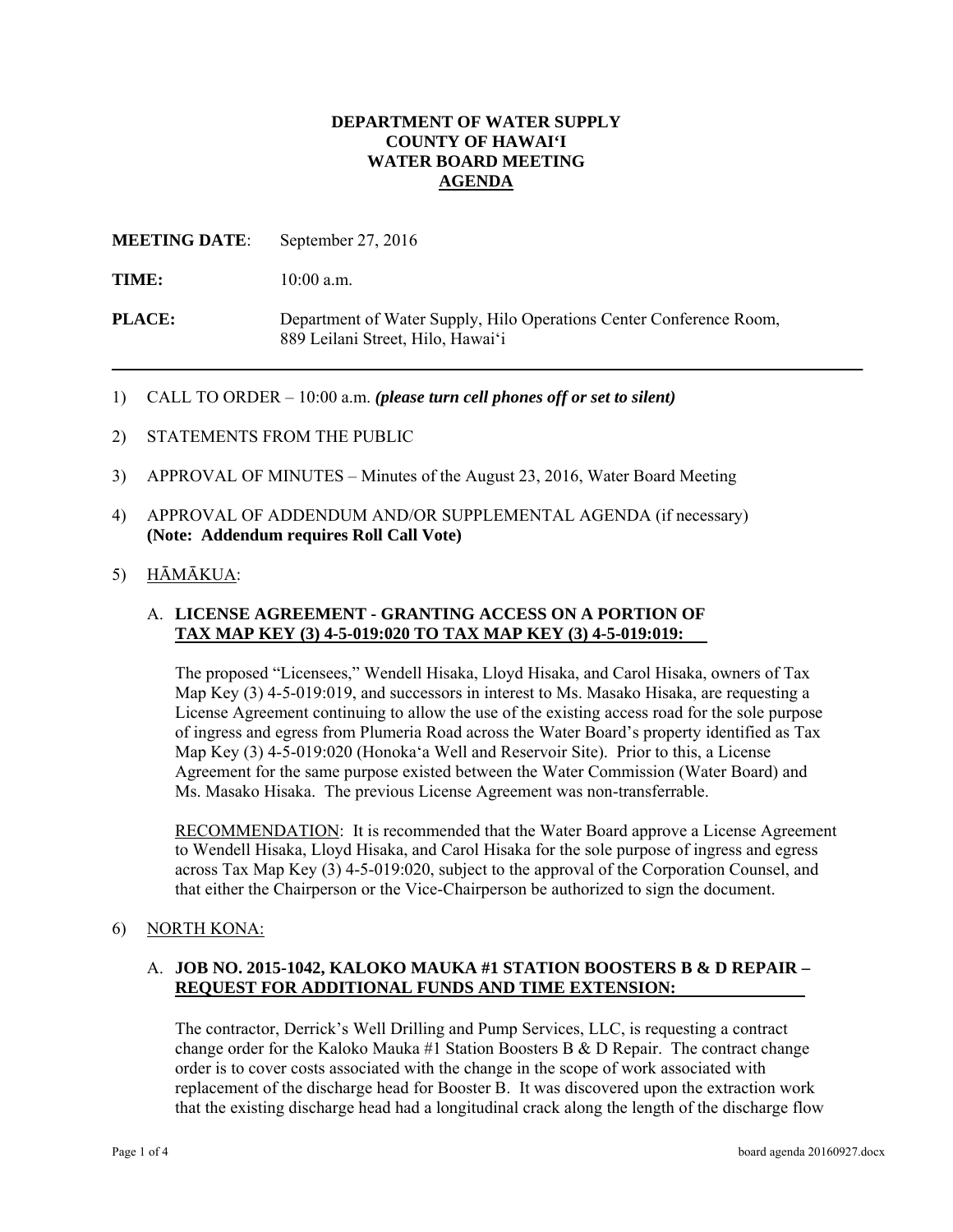## **DEPARTMENT OF WATER SUPPLY COUNTY OF HAWAI'I WATER BOARD MEETING AGENDA**

**MEETING DATE**: September 27, 2016

TIME:  $10:00$  a.m.

**PLACE:** Department of Water Supply, Hilo Operations Center Conference Room, 889 Leilani Street, Hilo, Hawai'i

- 1) CALL TO ORDER 10:00 a.m. *(please turn cell phones off or set to silent)*
- 2) STATEMENTS FROM THE PUBLIC
- 3) APPROVAL OF MINUTES Minutes of the August 23, 2016, Water Board Meeting
- 4) APPROVAL OF ADDENDUM AND/OR SUPPLEMENTAL AGENDA (if necessary) **(Note: Addendum requires Roll Call Vote)**
- 5) HĀMĀKUA:

## A. **LICENSE AGREEMENT - GRANTING ACCESS ON A PORTION OF TAX MAP KEY (3) 4-5-019:020 TO TAX MAP KEY (3) 4-5-019:019:**

The proposed "Licensees," Wendell Hisaka, Lloyd Hisaka, and Carol Hisaka, owners of Tax Map Key (3) 4-5-019:019, and successors in interest to Ms. Masako Hisaka, are requesting a License Agreement continuing to allow the use of the existing access road for the sole purpose of ingress and egress from Plumeria Road across the Water Board's property identified as Tax Map Key (3) 4-5-019:020 (Honoka'a Well and Reservoir Site). Prior to this, a License Agreement for the same purpose existed between the Water Commission (Water Board) and Ms. Masako Hisaka. The previous License Agreement was non-transferrable.

RECOMMENDATION: It is recommended that the Water Board approve a License Agreement to Wendell Hisaka, Lloyd Hisaka, and Carol Hisaka for the sole purpose of ingress and egress across Tax Map Key (3) 4-5-019:020, subject to the approval of the Corporation Counsel, and that either the Chairperson or the Vice-Chairperson be authorized to sign the document.

#### 6) NORTH KONA:

## A. **JOB NO. 2015-1042, KALOKO MAUKA #1 STATION BOOSTERS B & D REPAIR – REQUEST FOR ADDITIONAL FUNDS AND TIME EXTENSION:**

The contractor, Derrick's Well Drilling and Pump Services, LLC, is requesting a contract change order for the Kaloko Mauka  $#1$  Station Boosters B & D Repair. The contract change order is to cover costs associated with the change in the scope of work associated with replacement of the discharge head for Booster B. It was discovered upon the extraction work that the existing discharge head had a longitudinal crack along the length of the discharge flow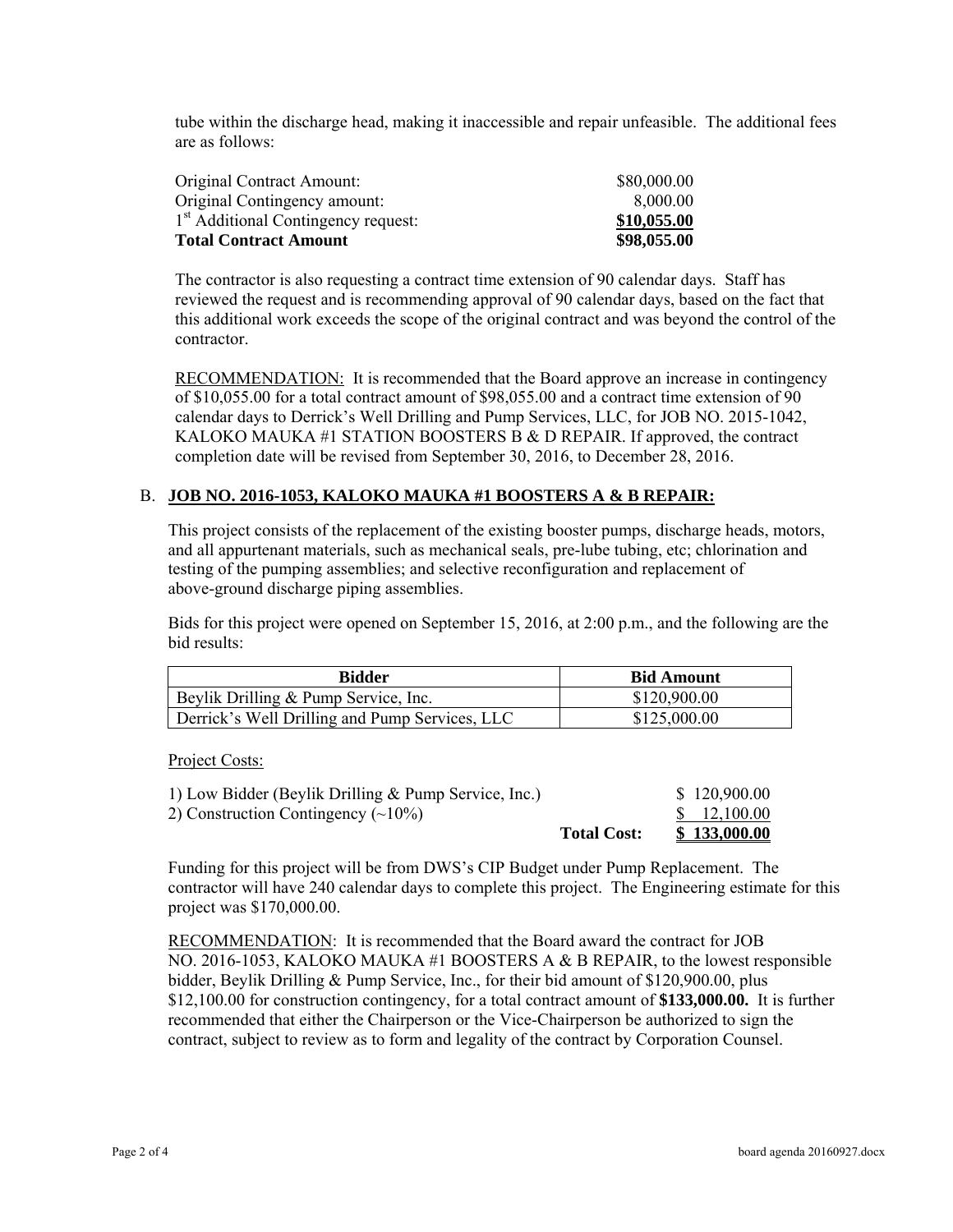tube within the discharge head, making it inaccessible and repair unfeasible. The additional fees are as follows:

| Original Contract Amount:                       | \$80,000.00 |
|-------------------------------------------------|-------------|
| Original Contingency amount:                    | 8.000.00    |
| 1 <sup>st</sup> Additional Contingency request: | \$10,055.00 |
| <b>Total Contract Amount</b>                    | \$98,055.00 |

The contractor is also requesting a contract time extension of 90 calendar days. Staff has reviewed the request and is recommending approval of 90 calendar days, based on the fact that this additional work exceeds the scope of the original contract and was beyond the control of the contractor.

**RECOMMENDATION:** It is recommended that the Board approve an increase in contingency of \$10,055.00 for a total contract amount of \$98,055.00 and a contract time extension of 90 calendar days to Derrick's Well Drilling and Pump Services, LLC, for JOB NO. 2015-1042, KALOKO MAUKA #1 STATION BOOSTERS B & D REPAIR. If approved, the contract completion date will be revised from September 30, 2016, to December 28, 2016.

# B. **JOB NO. 2016-1053, KALOKO MAUKA #1 BOOSTERS A & B REPAIR:**

This project consists of the replacement of the existing booster pumps, discharge heads, motors, and all appurtenant materials, such as mechanical seals, pre-lube tubing, etc; chlorination and testing of the pumping assemblies; and selective reconfiguration and replacement of above-ground discharge piping assemblies.

Bids for this project were opened on September 15, 2016, at 2:00 p.m., and the following are the bid results:

| Bidder                                         | <b>Bid Amount</b> |  |
|------------------------------------------------|-------------------|--|
| Beylik Drilling & Pump Service, Inc.           | \$120,900.00      |  |
| Derrick's Well Drilling and Pump Services, LLC | \$125,000.00      |  |

Project Costs:

|                                                        | <b>Total Cost:</b> | \$133,000.00             |
|--------------------------------------------------------|--------------------|--------------------------|
| 2) Construction Contingency $(\sim 10\%)$              |                    | $\frac{\$}{2}$ 12,100.00 |
| 1) Low Bidder (Beylik Drilling $&$ Pump Service, Inc.) |                    | \$120,900.00             |

Funding for this project will be from DWS's CIP Budget under Pump Replacement. The contractor will have 240 calendar days to complete this project. The Engineering estimate for this project was \$170,000.00.

RECOMMENDATION: It is recommended that the Board award the contract for JOB NO. 2016-1053, KALOKO MAUKA #1 BOOSTERS A & B REPAIR, to the lowest responsible bidder, Beylik Drilling & Pump Service, Inc., for their bid amount of \$120,900.00, plus \$12,100.00 for construction contingency, for a total contract amount of **\$133,000.00.** It is further recommended that either the Chairperson or the Vice-Chairperson be authorized to sign the contract, subject to review as to form and legality of the contract by Corporation Counsel.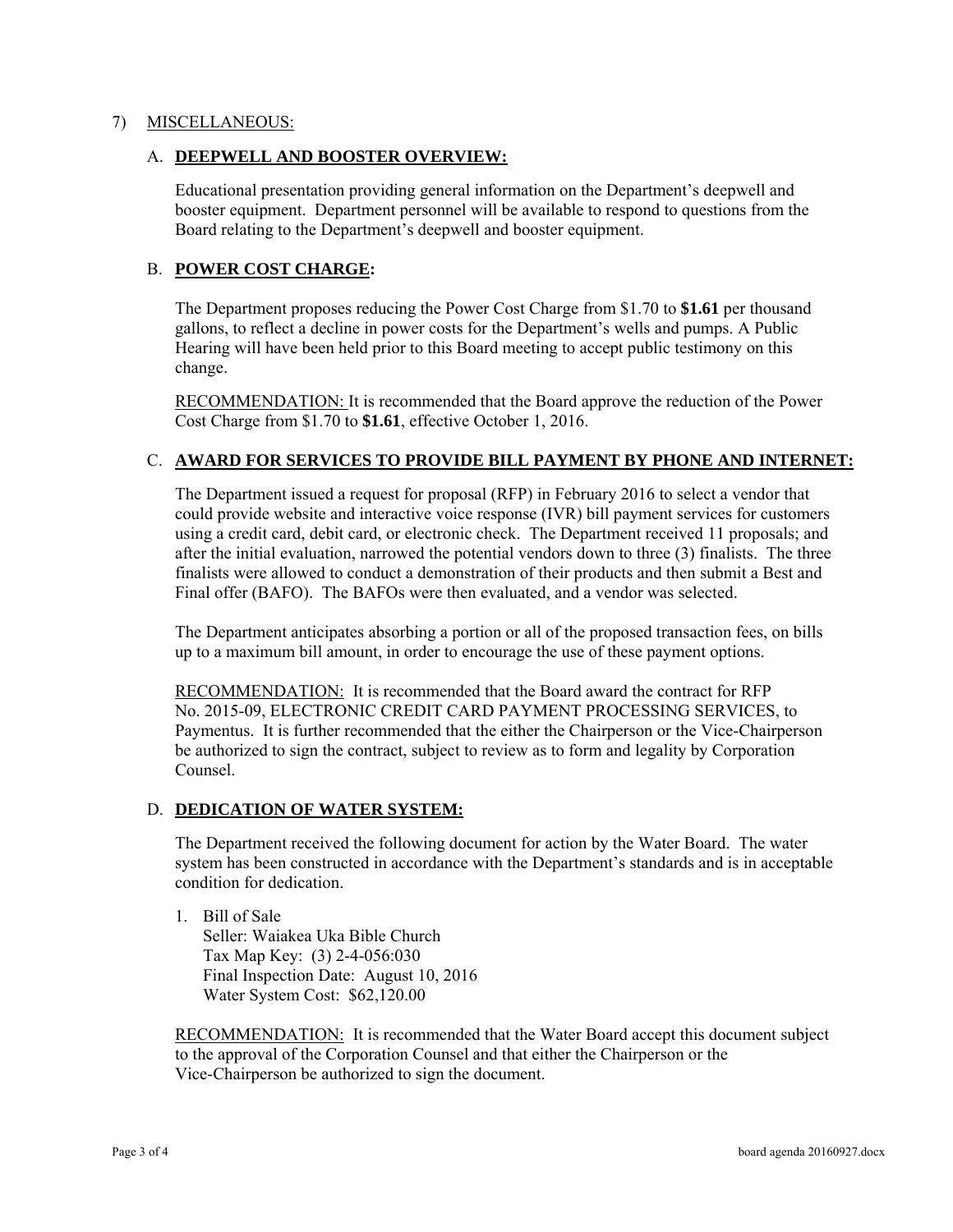## 7) MISCELLANEOUS:

#### A. **DEEPWELL AND BOOSTER OVERVIEW:**

Educational presentation providing general information on the Department's deepwell and booster equipment. Department personnel will be available to respond to questions from the Board relating to the Department's deepwell and booster equipment.

# B. **POWER COST CHARGE:**

The Department proposes reducing the Power Cost Charge from \$1.70 to **\$1.61** per thousand gallons, to reflect a decline in power costs for the Department's wells and pumps. A Public Hearing will have been held prior to this Board meeting to accept public testimony on this change.

RECOMMENDATION: It is recommended that the Board approve the reduction of the Power Cost Charge from \$1.70 to **\$1.61**, effective October 1, 2016.

#### C. **AWARD FOR SERVICES TO PROVIDE BILL PAYMENT BY PHONE AND INTERNET:**

The Department issued a request for proposal (RFP) in February 2016 to select a vendor that could provide website and interactive voice response (IVR) bill payment services for customers using a credit card, debit card, or electronic check. The Department received 11 proposals; and after the initial evaluation, narrowed the potential vendors down to three (3) finalists. The three finalists were allowed to conduct a demonstration of their products and then submit a Best and Final offer (BAFO). The BAFOs were then evaluated, and a vendor was selected.

The Department anticipates absorbing a portion or all of the proposed transaction fees, on bills up to a maximum bill amount, in order to encourage the use of these payment options.

RECOMMENDATION: It is recommended that the Board award the contract for RFP No. 2015-09, ELECTRONIC CREDIT CARD PAYMENT PROCESSING SERVICES, to Paymentus. It is further recommended that the either the Chairperson or the Vice-Chairperson be authorized to sign the contract, subject to review as to form and legality by Corporation Counsel.

## D. **DEDICATION OF WATER SYSTEM:**

The Department received the following document for action by the Water Board. The water system has been constructed in accordance with the Department's standards and is in acceptable condition for dedication.

1. Bill of Sale Seller: Waiakea Uka Bible Church Tax Map Key: (3) 2-4-056:030 Final Inspection Date: August 10, 2016 Water System Cost: \$62,120.00

**RECOMMENDATION:** It is recommended that the Water Board accept this document subject to the approval of the Corporation Counsel and that either the Chairperson or the Vice-Chairperson be authorized to sign the document.